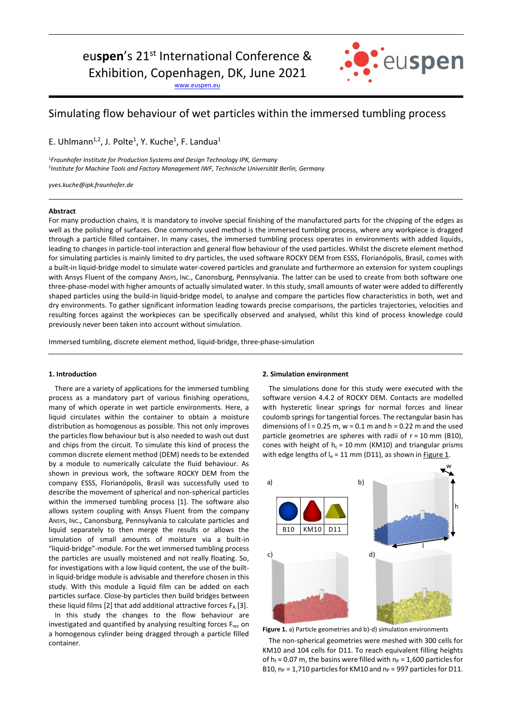# eu**spen**'s 21st International Conference &

Exhibition, Copenhagen, DK, June 2021

[www.euspen.eu](http://www.euspen.eu/)



## Simulating flow behaviour of wet particles within the immersed tumbling process

E. Uhlmann<sup>1,2</sup>, J. Polte<sup>1</sup>, Y. Kuche<sup>1</sup>, F. Landua<sup>1</sup>

<sup>1</sup>*Fraunhofer Institute for Production Systems and Design Technology IPK, Germany* 2 *Institute for Machine Tools and Factory Management IWF, Technische Universität Berlin, Germany*

*yves.kuche@ipk.fraunhofer.de*

#### **Abstract**

For many production chains, it is mandatory to involve special finishing of the manufactured parts for the chipping of the edges as well as the polishing of surfaces. One commonly used method is the immersed tumbling process, where any workpiece is dragged through a particle filled container. In many cases, the immersed tumbling process operates in environments with added liquids, leading to changes in particle-tool interaction and general flow behaviour of the used particles. Whilst the discrete element method for simulating particles is mainly limited to dry particles, the used software ROCKY DEM from ESSS, Florianópolis, Brasil, comes with a built-in liquid-bridge model to simulate water-covered particles and granulate and furthermore an extension for system couplings with Ansys Fluent of the company ANSYS, INC., Canonsburg, Pennsylvania. The latter can be used to create from both software one three-phase-model with higher amounts of actually simulated water. In this study, small amounts of water were added to differently shaped particles using the build-in liquid-bridge model, to analyse and compare the particles flow characteristics in both, wet and dry environments. To gather significant information leading towards precise comparisons, the particles trajectories, velocities and resulting forces against the workpieces can be specifically observed and analysed, whilst this kind of process knowledge could previously never been taken into account without simulation.

Immersed tumbling, discrete element method, liquid-bridge, three-phase-simulation

### **1. Introduction**

There are a variety of applications for the immersed tumbling process as a mandatory part of various finishing operations, many of which operate in wet particle environments. Here, a liquid circulates within the container to obtain a moisture distribution as homogenous as possible. This not only improves the particles flow behaviour but is also needed to wash out dust and chips from the circuit. To simulate this kind of process the common discrete element method (DEM) needs to be extended by a module to numerically calculate the fluid behaviour. As shown in previous work, the software ROCKY DEM from the company ESSS, Florianópolis, Brasil was successfully used to describe the movement of spherical and non-spherical particles within the immersed tumbling process [1]. The software also allows system coupling with Ansys Fluent from the company ANSYS, INC., Canonsburg, Pennsylvania to calculate particles and liquid separately to then merge the results or allows the simulation of small amounts of moisture via a built-in "liquid-bridge"-module. For the wet immersed tumbling process the particles are usually moistened and not really floating. So, for investigations with a low liquid content, the use of the builtin liquid-bridge module is advisable and therefore chosen in this study. With this module a liquid film can be added on each particles surface. Close-by particles then build bridges between these liquid films [2] that add additional attractive forces  $F_A$  [3].

In this study the changes to the flow behaviour are investigated and quantified by analysing resulting forces Fres on a homogenous cylinder being dragged through a particle filled container.

#### **2. Simulation environment**

The simulations done for this study were executed with the software version 4.4.2 of ROCKY DEM. Contacts are modelled with hysteretic linear springs for normal forces and linear coulomb springs for tangential forces. The rectangular basin has dimensions of  $l = 0.25$  m,  $w = 0.1$  m and  $h = 0.22$  m and the used particle geometries are spheres with radii of  $r = 10$  mm (B10), cones with height of  $h_c = 10$  mm (KM10) and triangular prisms with edge lengths of  $I_e = 11$  mm (D11), as shown in Figure 1.



**Figure 1.** a) Particle geometries and b)-d) simulation environments

The non-spherical geometries were meshed with 300 cells for KM10 and 104 cells for D11. To reach equivalent filling heights of h<sub>f</sub> ≈ 0.07 m, the basins were filled with  $n_P$  = 1,600 particles for B10,  $n_P = 1,710$  particles for KM10 and  $n_P = 997$  particles for D11.